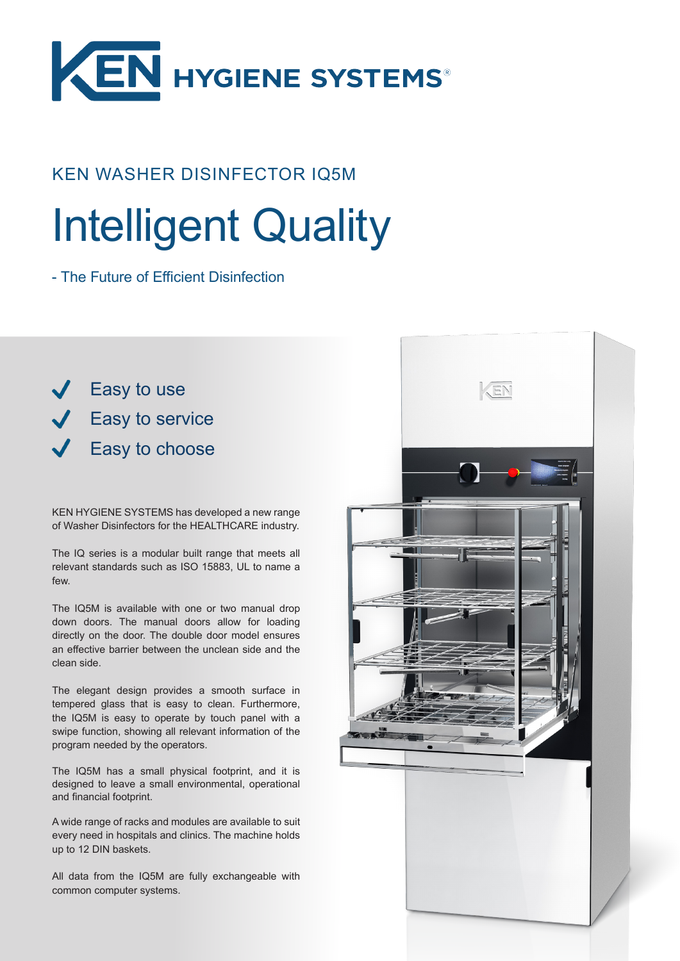

## KEN WASHER DISINFECTOR IQ5M

# Intelligent Quality

- The Future of Efficient Disinfection

 $\sqrt{\phantom{a}}$  Easy to use  $\sqrt{\phantom{a}}$  Easy to service **Easy to choose** 

KEN HYGIENE SYSTEMS has developed a new range of Washer Disinfectors for the HEALTHCARE industry.

The IQ series is a modular built range that meets all relevant standards such as ISO 15883, UL to name a few.

The IQ5M is available with one or two manual drop down doors. The manual doors allow for loading directly on the door. The double door model ensures an effective barrier between the unclean side and the clean side.

The elegant design provides a smooth surface in tempered glass that is easy to clean. Furthermore, the IQ5M is easy to operate by touch panel with a swipe function, showing all relevant information of the program needed by the operators.

The IQ5M has a small physical footprint, and it is designed to leave a small environmental, operational and financial footprint.

A wide range of racks and modules are available to suit every need in hospitals and clinics. The machine holds up to 12 DIN baskets.

All data from the IQ5M are fully exchangeable with common computer systems.